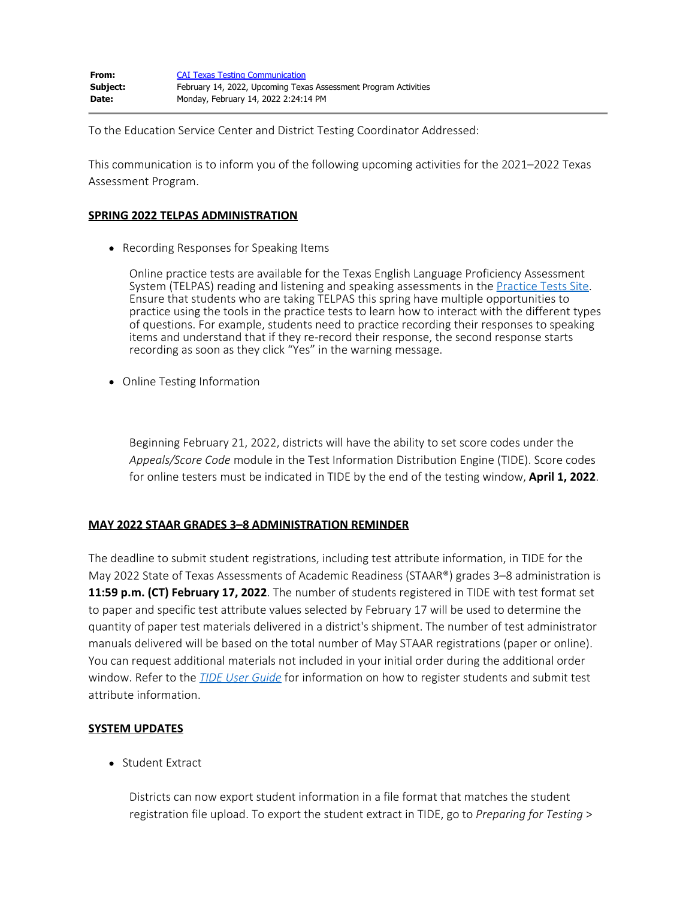To the Education Service Center and District Testing Coordinator Addressed:

This communication is to inform you of the following upcoming activities for the 2021–2022 Texas Assessment Program.

## **SPRING 2022 TELPAS ADMINISTRATION**

• Recording Responses for Speaking Items

Online practice tests are available for the Texas English Language Proficiency Assessment System (TELPAS) reading and listening and speaking assessments in the [Practice Tests Site](https://txpt.cambiumtds.com/student). Ensure that students who are taking TELPAS this spring have multiple opportunities to practice using the tools in the practice tests to learn how to interact with the different types of questions. For example, students need to practice recording their responses to speaking items and understand that if they re-record their response, the second response starts recording as soon as they click "Yes" in the warning message.

• Online Testing Information

Beginning February 21, 2022, districts will have the ability to set score codes under the *Appeals/Score Code* module in the Test Information Distribution Engine (TIDE). Score codes for online testers must be indicated in TIDE by the end of the testing window, **April 1, 2022**.

## **MAY 2022 STAAR GRADES 3–8 ADMINISTRATION REMINDER**

The deadline to submit student registrations, including test attribute information, in TIDE for the May 2022 State of Texas Assessments of Academic Readiness (STAAR®) grades 3–8 administration is **11:59 p.m. (CT) February 17, 2022**. The number of students registered in TIDE with test format set to paper and specific test attribute values selected by February 17 will be used to determine the quantity of paper test materials delivered in a district's shipment. The number of test administrator manuals delivered will be based on the total number of May STAAR registrations (paper or online). You can request additional materials not included in your initial order during the additional order window. Refer to the *[TIDE User Guide](https://tx.portal.cambiumast.com/resources/system-user-guides/tide-user-guide)* for information on how to register students and submit test attribute information.

## **SYSTEM UPDATES**

• Student Extract

Districts can now export student information in a file format that matches the student registration file upload. To export the student extract in TIDE, go to *Preparing for Testing* >